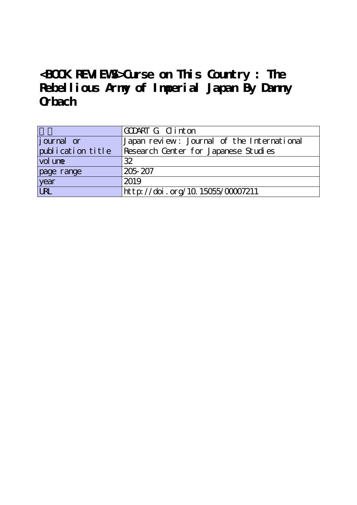## **<BOOK REVIEWS>Curse on This Country : The Rebellious Army of Imperial Japan By Danny Orbach**

|                   | GODART G Clinton                           |
|-------------------|--------------------------------------------|
| journal or        | Japan review: Journal of the International |
| publication title | Research Center for Japanese Studies       |
| vol une           | 32                                         |
| page range        | 205-207                                    |
| year<br>URL       | 2019                                       |
|                   | http://doi.org/10.15055/00007211           |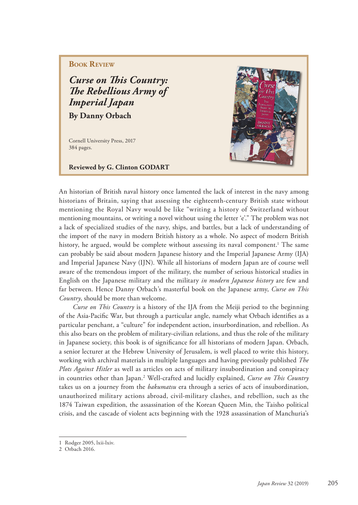## **BOOK REVIEW**

*Curse on This Country:* **The Rebellious Army of** *Imperial Japan* **By Danny Orbach**

Cornell University Press, 2017 384 pages.

**Reviewed by G. Clinton GODART**



An historian of British naval history once lamented the lack of interest in the navy among historians of Britain, saying that assessing the eighteenth-century British state without mentioning the Royal Navy would be like "writing a history of Switzerland without mentioning mountains, or writing a novel without using the letter 'e'." The problem was not a lack of specialized studies of the navy, ships, and battles, but a lack of understanding of the import of the navy in modern British history as a whole. No aspect of modern British history, he argued, would be complete without assessing its naval component.<sup>1</sup> The same can probably be said about modern Japanese history and the Imperial Japanese Army (IJA) and Imperial Japanese Navy (IJN). While all historians of modern Japan are of course well aware of the tremendous import of the military, the number of serious historical studies in English on the Japanese military and the military *in modern Japanese history* are few and far between. Hence Danny Orbach's masterful book on the Japanese army, *Curse on This Country*, should be more than welcome.

*Curse on This Country* is a history of the IJA from the Meiji period to the beginning of the Asia-Pacific War, but through a particular angle, namely what Orbach identifies as a particular penchant, a "culture" for independent action, insurbordination, and rebellion. As this also bears on the problem of military-civilian relations, and thus the role of the military in Japanese society, this book is of significance for all historians of modern Japan. Orbach, a senior lecturer at the Hebrew University of Jerusalem, is well placed to write this history, working with archival materials in multiple languages and having previously published *The Plots Against Hitler* as well as articles on acts of military insubordination and conspiracy in countries other than Japan.2 Well-crafted and lucidly explained, *Curse on This Country* takes us on a journey from the *bakumatsu* era through a series of acts of insubordination, unauthorized military actions abroad, civil-military clashes, and rebellion, such as the 1874 Taiwan expedition, the assassination of the Korean Queen Min, the Taisho political crisis, and the cascade of violent acts beginning with the 1928 assassination of Manchuria's

<sup>1</sup> Rodger 2005, lxii-lxiv.

<sup>2</sup> Orbach 2016.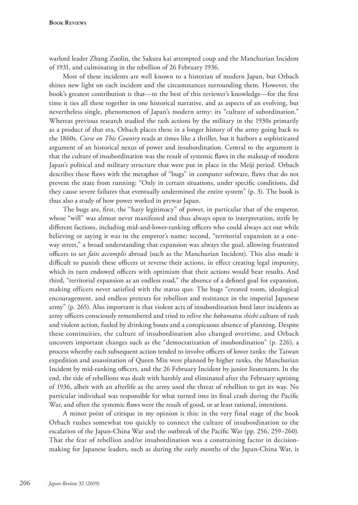warlord leader Zhang Zuolin, the Sakura kai attempted coup and the Manchurian Incident of 1931, and culminating in the rebellion of 26 February 1936.

Most of these incidents are well known to a historian of modern Japan, but Orbach shines new light on each incident and the circumstances surrounding them. However, the book's greatest contribution is that—to the best of this reviewer's knowledge—for the first time it ties all these together in one historical narrative, and as aspects of an evolving, but nevertheless single, phenomenon of Japan's modern army: its "culture of subordination." Whereas previous research studied the rash actions by the military in the 1930s primarily as a product of that era, Orbach places these in a longer history of the army going back to the 1860s. *Curse on This Country* reads at times like a thriller, but it harbors a sophisticated argument of an historical nexus of power and insubordination. Central to the argument is that the culture of insubordination was the result of systemic flaws in the makeup of modern Japan's political and military structure that were put in place in the Meiji period. Orbach describes these flaws with the metaphor of "bugs" in computer software, flaws that do not prevent the state from running: "Only in certain situations, under specific conditions, did they cause severe failures that eventually undermined the entire system" (p. 3). The book is thus also a study of how power worked in prewar Japan.

The bugs are, first, the "hazy legitimacy" of power, in particular that of the emperor, whose "will" was almost never manifested and thus always open to interpretation, strife by different factions, including mid-and-lower-ranking officers who could always act out while believing or saying it was in the emperor's name; second, "territorial expansion as a oneway street," a broad understanding that expansion was always the goal, allowing frustrated officers to set *faits accomplis* abroad (such as the Manchurian Incident). This also made it difficult to punish these officers or reverse their actions, in effect creating legal impunity, which in turn endowed officers with optimism that their actions would bear results. And third, "territorial expansion as an endless road," the absence of a defined goal for expansion, making officers never satisfied with the status quo. The bugs "created room, ideological encouragement, and endless pretexts for rebellion and resistance in the imperial Japanese army" (p. 265). Also important is that violent acts of insubordination bred later incidents as army officers consciously remembered and tried to relive the *bakumatsu shishi* culture of rash and violent action, fueled by drinking bouts and a conspicuous absence of planning. Despite these continuities, the culture of insubordination also changed overtime, and Orbach uncovers important changes such as the "democratization of insubordination" (p. 226), a process whereby each subsequent action tended to involve officers of lower ranks: the Taiwan expedition and assassination of Queen Min were planned by higher ranks, the Manchurian Incident by mid-ranking officers, and the 26 February Incident by junior lieutenants. In the end, the tide of rebellions was dealt with harshly and eliminated after the February uprising of 1936, albeit with an afterlife as the army used the threat of rebellion to get its way. No particular individual was responsible for what turned into its final crash during the Pacific War, and often the systemic flaws were the result of good, or at least rational, intentions.

A minor point of critique in my opinion is this: in the very final stage of the book Orbach rushes somewhat too quickly to connect the culture of insubordination to the escalation of the Japan-China War and the outbreak of the Pacific War (pp. 256, 259–260). That the fear of rebellion and/or insubordination was a constraining factor in decisionmaking for Japanese leaders, such as during the early months of the Japan-China War, is